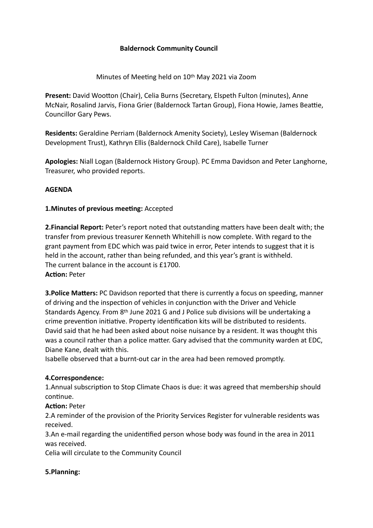# **Baldernock Community Council**

## Minutes of Meeting held on 10<sup>th</sup> May 2021 via Zoom

**Present:** David Wootton (Chair), Celia Burns (Secretary, Elspeth Fulton (minutes), Anne McNair, Rosalind Jarvis, Fiona Grier (Baldernock Tartan Group), Fiona Howie, James Beattie, Councillor Gary Pews.

**Residents:** Geraldine Perriam (Baldernock Amenity Society), Lesley Wiseman (Baldernock Development Trust), Kathryn Ellis (Baldernock Child Care), Isabelle Turner

**Apologies:** Niall Logan (Baldernock History Group). PC Emma Davidson and Peter Langhorne, Treasurer, who provided reports.

#### **AGENDA**

## **1. Minutes of previous meeting: Accepted**

**2. Financial Report:** Peter's report noted that outstanding matters have been dealt with; the transfer from previous treasurer Kenneth Whitehill is now complete. With regard to the grant payment from EDC which was paid twice in error, Peter intends to suggest that it is held in the account, rather than being refunded, and this year's grant is withheld. The current balance in the account is £1700. **Action: Peter** 

**3. Police Matters:** PC Davidson reported that there is currently a focus on speeding, manner of driving and the inspection of vehicles in conjunction with the Driver and Vehicle Standards Agency. From 8th June 2021 G and J Police sub divisions will be undertaking a crime prevention initiative. Property identification kits will be distributed to residents. David said that he had been asked about noise nuisance by a resident. It was thought this was a council rather than a police matter. Gary advised that the community warden at EDC, Diane Kane, dealt with this.

Isabelle observed that a burnt-out car in the area had been removed promptly.

#### **4.Correspondence:**

1.Annual subscription to Stop Climate Chaos is due: it was agreed that membership should continue.

#### **Action: Peter**

2.A reminder of the provision of the Priority Services Register for vulnerable residents was received.

3.An e-mail regarding the unidentified person whose body was found in the area in 2011 was received.

Celia will circulate to the Community Council

#### **5.Planning:**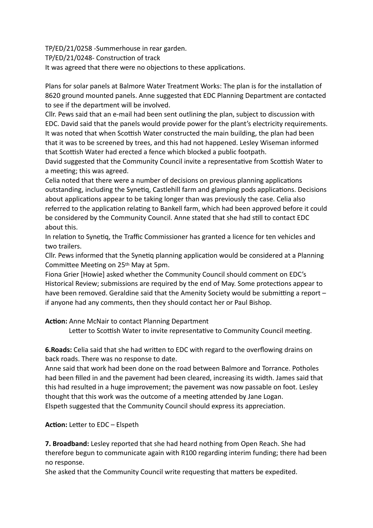TP/ED/21/0258 -Summerhouse in rear garden.

TP/ED/21/0248- Construction of track

It was agreed that there were no objections to these applications.

Plans for solar panels at Balmore Water Treatment Works: The plan is for the installation of 8620 ground mounted panels. Anne suggested that EDC Planning Department are contacted to see if the department will be involved.

Cllr. Pews said that an e-mail had been sent outlining the plan, subject to discussion with EDC. David said that the panels would provide power for the plant's electricity requirements. It was noted that when Scottish Water constructed the main building, the plan had been that it was to be screened by trees, and this had not happened. Lesley Wiseman informed that Scottish Water had erected a fence which blocked a public footpath.

David suggested that the Community Council invite a representative from Scottish Water to a meeting; this was agreed.

Celia noted that there were a number of decisions on previous planning applications outstanding, including the Synetiq, Castlehill farm and glamping pods applications. Decisions about applications appear to be taking longer than was previously the case. Celia also referred to the application relating to Bankell farm, which had been approved before it could be considered by the Community Council. Anne stated that she had still to contact EDC about this.

In relation to Synetiq, the Traffic Commissioner has granted a licence for ten vehicles and two trailers.

Cllr. Pews informed that the Synetiq planning application would be considered at a Planning Committee Meeting on 25th May at 5pm.

Fiona Grier [Howie] asked whether the Community Council should comment on EDC's Historical Review; submissions are required by the end of May. Some protections appear to have been removed. Geraldine said that the Amenity Society would be submitting a report  $$ if anyone had any comments, then they should contact her or Paul Bishop.

**Action:** Anne McNair to contact Planning Department

Letter to Scottish Water to invite representative to Community Council meeting.

**6. Roads:** Celia said that she had written to EDC with regard to the overflowing drains on back roads. There was no response to date.

Anne said that work had been done on the road between Balmore and Torrance. Potholes had been filled in and the pavement had been cleared, increasing its width. James said that this had resulted in a huge improvement; the pavement was now passable on foot. Lesley thought that this work was the outcome of a meeting attended by Jane Logan. Elspeth suggested that the Community Council should express its appreciation.

**Action:** Letter to EDC – Elspeth

**7. Broadband:** Lesley reported that she had heard nothing from Open Reach. She had therefore begun to communicate again with R100 regarding interim funding; there had been no response.

She asked that the Community Council write requesting that matters be expedited.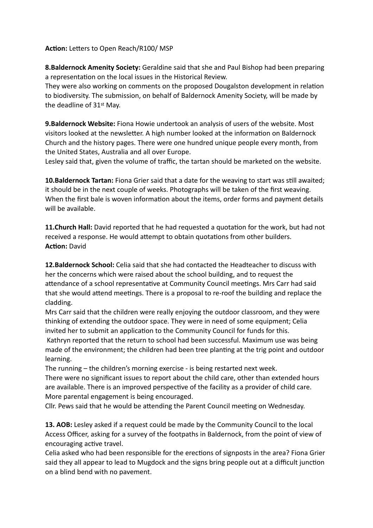Action: Letters to Open Reach/R100/ MSP

**8.Baldernock Amenity Society:** Geraldine said that she and Paul Bishop had been preparing a representation on the local issues in the Historical Review.

They were also working on comments on the proposed Dougalston development in relation to biodiversity. The submission, on behalf of Baldernock Amenity Society, will be made by the deadline of 31st May.

**9.Baldernock Website:** Fiona Howie undertook an analysis of users of the website. Most visitors looked at the newsletter. A high number looked at the information on Baldernock Church and the history pages. There were one hundred unique people every month, from the United States, Australia and all over Europe.

Lesley said that, given the volume of traffic, the tartan should be marketed on the website.

**10.Baldernock Tartan:** Fiona Grier said that a date for the weaving to start was still awaited; it should be in the next couple of weeks. Photographs will be taken of the first weaving. When the first bale is woven information about the items, order forms and payment details will be available.

**11. Church Hall:** David reported that he had requested a quotation for the work, but had not received a response. He would attempt to obtain quotations from other builders. **Action: David** 

**12.Baldernock School:** Celia said that she had contacted the Headteacher to discuss with her the concerns which were raised about the school building, and to request the attendance of a school representative at Community Council meetings. Mrs Carr had said that she would attend meetings. There is a proposal to re-roof the building and replace the cladding.

Mrs Carr said that the children were really enjoying the outdoor classroom, and they were thinking of extending the outdoor space. They were in need of some equipment; Celia invited her to submit an application to the Community Council for funds for this.

 Kathryn reported that the return to school had been successful. Maximum use was being made of the environment; the children had been tree planting at the trig point and outdoor learning.

The running – the children's morning exercise - is being restarted next week.

There were no significant issues to report about the child care, other than extended hours are available. There is an improved perspective of the facility as a provider of child care. More parental engagement is being encouraged.

Cllr. Pews said that he would be attending the Parent Council meeting on Wednesday.

**13. AOB:** Lesley asked if a request could be made by the Community Council to the local Access Officer, asking for a survey of the footpaths in Baldernock, from the point of view of encouraging active travel.

Celia asked who had been responsible for the erections of signposts in the area? Fiona Grier said they all appear to lead to Mugdock and the signs bring people out at a difficult junction on a blind bend with no pavement.